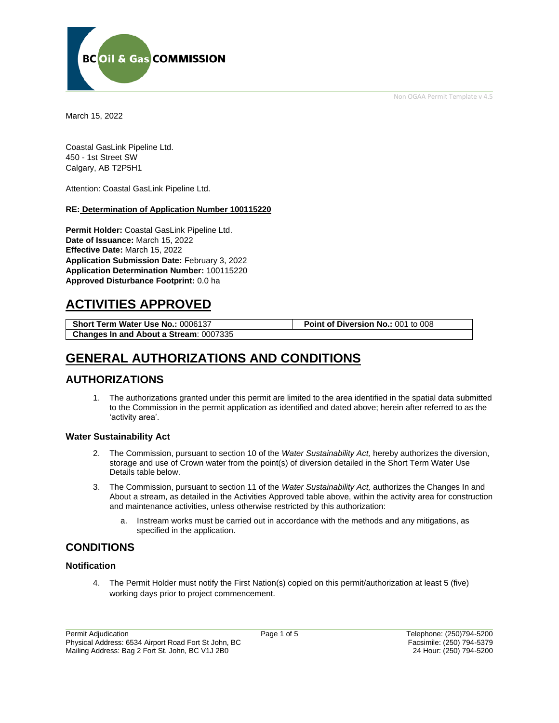Non OGAA Permit Template v 4.5



March 15, 2022

Coastal GasLink Pipeline Ltd. 450 - 1st Street SW Calgary, AB T2P5H1

Attention: Coastal GasLink Pipeline Ltd.

#### **RE: Determination of Application Number 100115220**

**Permit Holder:** Coastal GasLink Pipeline Ltd. **Date of Issuance:** March 15, 2022 **Effective Date:** March 15, 2022 **Application Submission Date:** February 3, 2022 **Application Determination Number:** 100115220 **Approved Disturbance Footprint:** 0.0 ha

# **ACTIVITIES APPROVED**

**Short Term Water Use No.:** 0006137 **Point of Diversion No.:** 001 to 008 **Changes In and About a Stream**: 0007335

# **GENERAL AUTHORIZATIONS AND CONDITIONS**

### **AUTHORIZATIONS**

1. The authorizations granted under this permit are limited to the area identified in the spatial data submitted to the Commission in the permit application as identified and dated above; herein after referred to as the 'activity area'.

#### **Water Sustainability Act**

- 2. The Commission, pursuant to section 10 of the *Water Sustainability Act,* hereby authorizes the diversion, storage and use of Crown water from the point(s) of diversion detailed in the Short Term Water Use Details table below.
- 3. The Commission, pursuant to section 11 of the *Water Sustainability Act,* authorizes the Changes In and About a stream, as detailed in the Activities Approved table above, within the activity area for construction and maintenance activities, unless otherwise restricted by this authorization:
	- a. Instream works must be carried out in accordance with the methods and any mitigations, as specified in the application.

## **CONDITIONS**

#### **Notification**

4. The Permit Holder must notify the First Nation(s) copied on this permit/authorization at least 5 (five) working days prior to project commencement.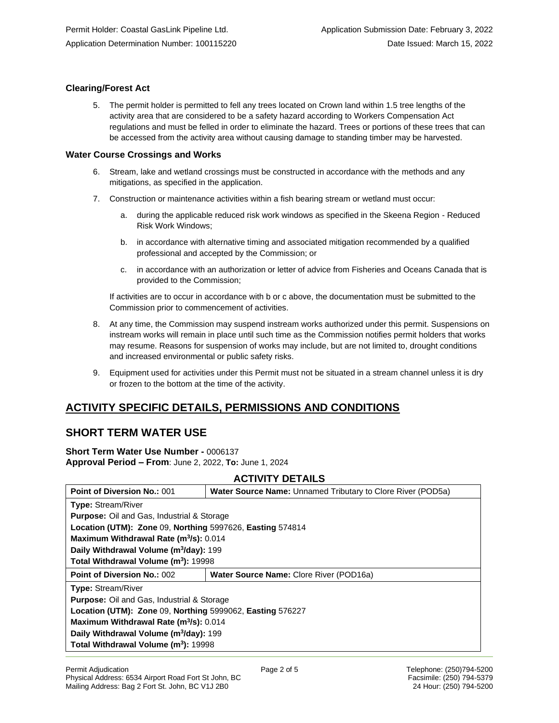### **Clearing/Forest Act**

5. The permit holder is permitted to fell any trees located on Crown land within 1.5 tree lengths of the activity area that are considered to be a safety hazard according to Workers Compensation Act regulations and must be felled in order to eliminate the hazard. Trees or portions of these trees that can be accessed from the activity area without causing damage to standing timber may be harvested.

### **Water Course Crossings and Works**

- 6. Stream, lake and wetland crossings must be constructed in accordance with the methods and any mitigations, as specified in the application.
- 7. Construction or maintenance activities within a fish bearing stream or wetland must occur:
	- a. during the applicable reduced risk work windows as specified in the Skeena Region Reduced Risk Work Windows;
	- b. in accordance with alternative timing and associated mitigation recommended by a qualified professional and accepted by the Commission; or
	- c. in accordance with an authorization or letter of advice from Fisheries and Oceans Canada that is provided to the Commission;

If activities are to occur in accordance with b or c above, the documentation must be submitted to the Commission prior to commencement of activities.

- 8. At any time, the Commission may suspend instream works authorized under this permit. Suspensions on instream works will remain in place until such time as the Commission notifies permit holders that works may resume. Reasons for suspension of works may include, but are not limited to, drought conditions and increased environmental or public safety risks.
- 9. Equipment used for activities under this Permit must not be situated in a stream channel unless it is dry or frozen to the bottom at the time of the activity.

# **ACTIVITY SPECIFIC DETAILS, PERMISSIONS AND CONDITIONS**

# **SHORT TERM WATER USE**

**Short Term Water Use Number -** 0006137 **Approval Period – From**: June 2, 2022, **To:** June 1, 2024

## **ACTIVITY DETAILS**

| <b>Point of Diversion No.: 001</b>                        | <b>Water Source Name: Unnamed Tributary to Clore River (POD5a)</b> |  |
|-----------------------------------------------------------|--------------------------------------------------------------------|--|
| <b>Type: Stream/River</b>                                 |                                                                    |  |
| <b>Purpose:</b> Oil and Gas, Industrial & Storage         |                                                                    |  |
| Location (UTM): Zone 09, Northing 5997626, Easting 574814 |                                                                    |  |
| Maximum Withdrawal Rate (m <sup>3</sup> /s): 0.014        |                                                                    |  |
| Daily Withdrawal Volume (m <sup>3</sup> /day): 199        |                                                                    |  |
| Total Withdrawal Volume (m <sup>3</sup> ): 19998          |                                                                    |  |
| <b>Point of Diversion No.: 002</b>                        | Water Source Name: Clore River (POD16a)                            |  |
| <b>Type: Stream/River</b>                                 |                                                                    |  |
| <b>Purpose:</b> Oil and Gas, Industrial & Storage         |                                                                    |  |
| Location (UTM): Zone 09, Northing 5999062, Easting 576227 |                                                                    |  |
| Maximum Withdrawal Rate (m <sup>3</sup> /s): 0.014        |                                                                    |  |
| Daily Withdrawal Volume (m <sup>3</sup> /day): 199        |                                                                    |  |
| Total Withdrawal Volume (m <sup>3</sup> ): 19998          |                                                                    |  |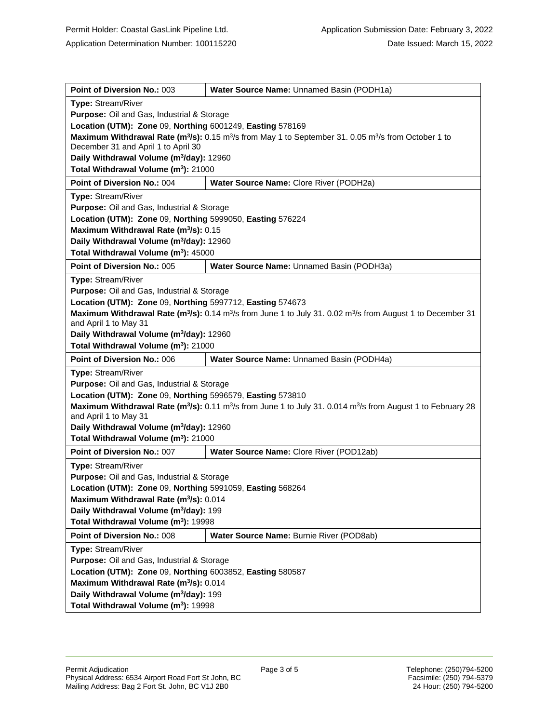| Point of Diversion No.: 003                                                                                                                                               | Water Source Name: Unnamed Basin (PODH1a)          |  |
|---------------------------------------------------------------------------------------------------------------------------------------------------------------------------|----------------------------------------------------|--|
| Type: Stream/River                                                                                                                                                        |                                                    |  |
| Purpose: Oil and Gas, Industrial & Storage                                                                                                                                |                                                    |  |
| Location (UTM): Zone 09, Northing 6001249, Easting 578169                                                                                                                 |                                                    |  |
| Maximum Withdrawal Rate ( $m^3$ /s): 0.15 $m^3$ /s from May 1 to September 31. 0.05 $m^3$ /s from October 1 to<br>December 31 and April 1 to April 30                     |                                                    |  |
| Daily Withdrawal Volume (m <sup>3</sup> /day): 12960                                                                                                                      |                                                    |  |
| Total Withdrawal Volume (m <sup>3</sup> ): 21000                                                                                                                          |                                                    |  |
| Point of Diversion No.: 004                                                                                                                                               | Water Source Name: Clore River (PODH2a)            |  |
| Type: Stream/River                                                                                                                                                        |                                                    |  |
| Purpose: Oil and Gas, Industrial & Storage                                                                                                                                |                                                    |  |
| Location (UTM): Zone 09, Northing 5999050, Easting 576224                                                                                                                 |                                                    |  |
| Maximum Withdrawal Rate (m <sup>3</sup> /s): 0.15                                                                                                                         |                                                    |  |
| Daily Withdrawal Volume (m <sup>3</sup> /day): 12960                                                                                                                      |                                                    |  |
| Total Withdrawal Volume (m <sup>3</sup> ): 45000                                                                                                                          |                                                    |  |
| Point of Diversion No.: 005                                                                                                                                               | Water Source Name: Unnamed Basin (PODH3a)          |  |
| <b>Type: Stream/River</b>                                                                                                                                                 |                                                    |  |
| <b>Purpose:</b> Oil and Gas, Industrial & Storage                                                                                                                         |                                                    |  |
| Location (UTM): Zone 09, Northing 5997712, Easting 574673                                                                                                                 |                                                    |  |
| Maximum Withdrawal Rate (m <sup>3</sup> /s): 0.14 m <sup>3</sup> /s from June 1 to July 31. 0.02 m <sup>3</sup> /s from August 1 to December 31<br>and April 1 to May 31  |                                                    |  |
| Daily Withdrawal Volume (m <sup>3</sup> /day): 12960                                                                                                                      |                                                    |  |
| Total Withdrawal Volume (m <sup>3</sup> ): 21000                                                                                                                          |                                                    |  |
| Point of Diversion No.: 006                                                                                                                                               | Water Source Name: Unnamed Basin (PODH4a)          |  |
| <b>Type: Stream/River</b>                                                                                                                                                 |                                                    |  |
| Purpose: Oil and Gas, Industrial & Storage                                                                                                                                |                                                    |  |
| Location (UTM): Zone 09, Northing 5996579, Easting 573810                                                                                                                 |                                                    |  |
| Maximum Withdrawal Rate (m <sup>3</sup> /s): 0.11 m <sup>3</sup> /s from June 1 to July 31. 0.014 m <sup>3</sup> /s from August 1 to February 28<br>and April 1 to May 31 |                                                    |  |
| Daily Withdrawal Volume (m <sup>3</sup> /day): 12960                                                                                                                      |                                                    |  |
| Total Withdrawal Volume (m <sup>3</sup> ): 21000                                                                                                                          |                                                    |  |
| Point of Diversion No.: 007                                                                                                                                               | Water Source Name: Clore River (POD12ab)           |  |
| <b>Type: Stream/River</b>                                                                                                                                                 |                                                    |  |
| Purpose: Oil and Gas, Industrial & Storage                                                                                                                                |                                                    |  |
| Location (UTM): Zone 09, Northing 5991059, Easting 568264                                                                                                                 |                                                    |  |
| Maximum Withdrawal Rate (m <sup>3</sup> /s): 0.014                                                                                                                        |                                                    |  |
|                                                                                                                                                                           | Daily Withdrawal Volume (m <sup>3</sup> /day): 199 |  |
| Total Withdrawal Volume (m <sup>3</sup> ): 19998                                                                                                                          |                                                    |  |
| Point of Diversion No.: 008                                                                                                                                               | Water Source Name: Burnie River (POD8ab)           |  |
| <b>Type: Stream/River</b>                                                                                                                                                 |                                                    |  |
| Purpose: Oil and Gas, Industrial & Storage                                                                                                                                |                                                    |  |
| Location (UTM): Zone 09, Northing 6003852, Easting 580587                                                                                                                 |                                                    |  |
| Maximum Withdrawal Rate (m <sup>3</sup> /s): 0.014                                                                                                                        |                                                    |  |
| Daily Withdrawal Volume (m <sup>3</sup> /day): 199                                                                                                                        |                                                    |  |
|                                                                                                                                                                           |                                                    |  |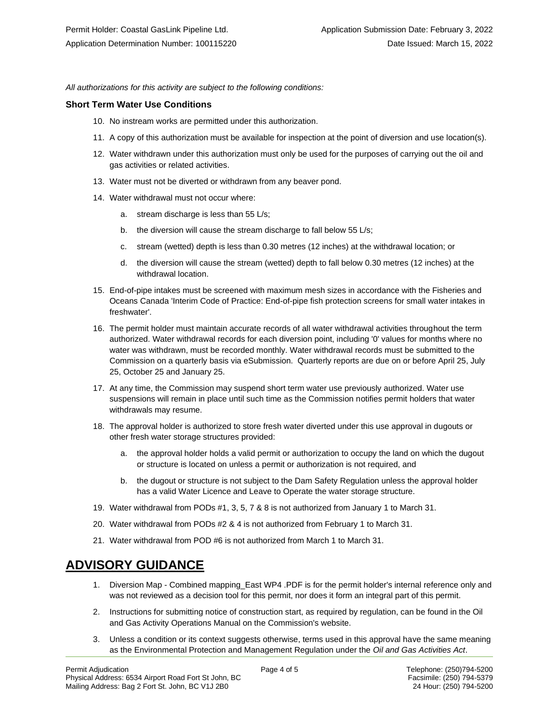*All authorizations for this activity are subject to the following conditions:*

#### **Short Term Water Use Conditions**

- 10. No instream works are permitted under this authorization.
- 11. A copy of this authorization must be available for inspection at the point of diversion and use location(s).
- 12. Water withdrawn under this authorization must only be used for the purposes of carrying out the oil and gas activities or related activities.
- 13. Water must not be diverted or withdrawn from any beaver pond.
- 14. Water withdrawal must not occur where:
	- a. stream discharge is less than 55 L/s;
	- b. the diversion will cause the stream discharge to fall below 55 L/s;
	- c. stream (wetted) depth is less than 0.30 metres (12 inches) at the withdrawal location; or
	- d. the diversion will cause the stream (wetted) depth to fall below 0.30 metres (12 inches) at the withdrawal location.
- 15. End-of-pipe intakes must be screened with maximum mesh sizes in accordance with the Fisheries and Oceans Canada 'Interim Code of Practice: End-of-pipe fish protection screens for small water intakes in freshwater'.
- 16. The permit holder must maintain accurate records of all water withdrawal activities throughout the term authorized. Water withdrawal records for each diversion point, including '0' values for months where no water was withdrawn, must be recorded monthly. Water withdrawal records must be submitted to the Commission on a quarterly basis via eSubmission. Quarterly reports are due on or before April 25, July 25, October 25 and January 25.
- 17. At any time, the Commission may suspend short term water use previously authorized. Water use suspensions will remain in place until such time as the Commission notifies permit holders that water withdrawals may resume.
- 18. The approval holder is authorized to store fresh water diverted under this use approval in dugouts or other fresh water storage structures provided:
	- a. the approval holder holds a valid permit or authorization to occupy the land on which the dugout or structure is located on unless a permit or authorization is not required, and
	- b. the dugout or structure is not subject to the Dam Safety Regulation unless the approval holder has a valid Water Licence and Leave to Operate the water storage structure.
- 19. Water withdrawal from PODs #1, 3, 5, 7 & 8 is not authorized from January 1 to March 31.
- 20. Water withdrawal from PODs #2 & 4 is not authorized from February 1 to March 31.
- 21. Water withdrawal from POD #6 is not authorized from March 1 to March 31.

# **ADVISORY GUIDANCE**

- 1. Diversion Map Combined mapping East WP4 .PDF is for the permit holder's internal reference only and was not reviewed as a decision tool for this permit, nor does it form an integral part of this permit.
- 2. Instructions for submitting notice of construction start, as required by regulation, can be found in the Oil and Gas Activity Operations Manual on the Commission's website.
- 3. Unless a condition or its context suggests otherwise, terms used in this approval have the same meaning as the Environmental Protection and Management Regulation under the *Oil and Gas Activities Act*.